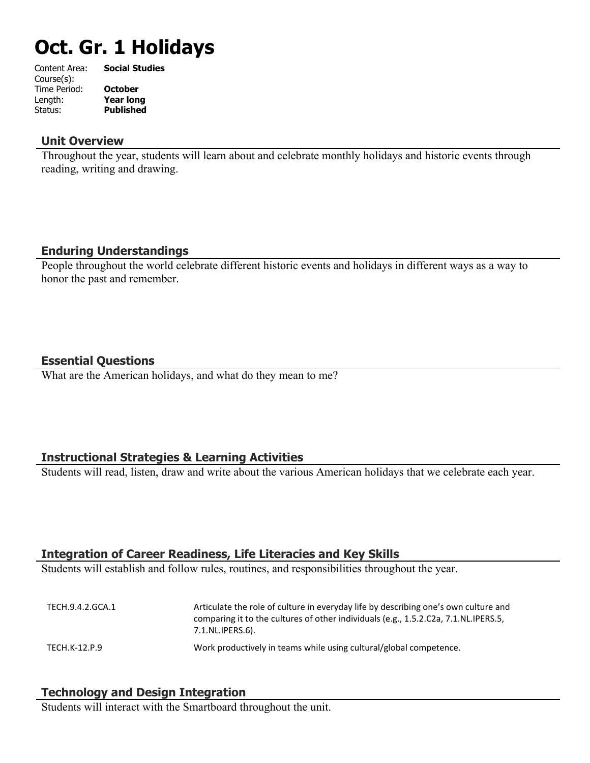# **Oct. Gr. 1 Holidays**

| Content Area: | <b>Social Studies</b> |
|---------------|-----------------------|
| Course(s):    |                       |
| Time Period:  | <b>October</b>        |
| Length:       | <b>Year long</b>      |
| Status:       | <b>Published</b>      |
|               |                       |

#### **Unit Overview**

Throughout the year, students will learn about and celebrate monthly holidays and historic events through reading, writing and drawing.

## **Enduring Understandings**

People throughout the world celebrate different historic events and holidays in different ways as a way to honor the past and remember.

## **Essential Questions**

What are the American holidays, and what do they mean to me?

# **Instructional Strategies & Learning Activities**

Students will read, listen, draw and write about the various American holidays that we celebrate each year.

## **Integration of Career Readiness, Life Literacies and Key Skills**

Students will establish and follow rules, routines, and responsibilities throughout the year.

TECH.9.4.2.GCA.1 Articulate the role of culture in everyday life by describing one's own culture and comparing it to the cultures of other individuals (e.g., 1.5.2.C2a, 7.1.NL.IPERS.5, 7.1.NL.IPERS.6). TECH.K-12.P.9 Work productively in teams while using cultural/global competence.

## **Technology and Design Integration**

Students will interact with the Smartboard throughout the unit.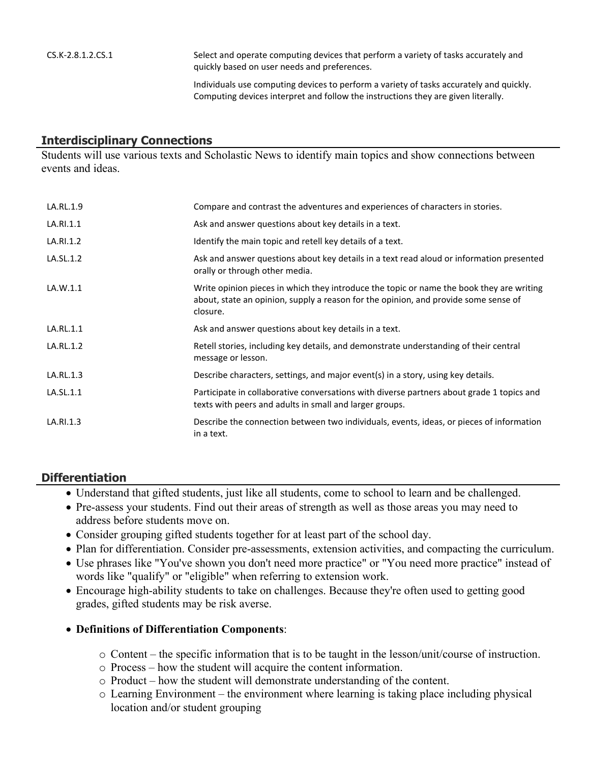CS.K-2.8.1.2.CS.1 Select and operate computing devices that perform a variety of tasks accurately and quickly based on user needs and preferences.

> Individuals use computing devices to perform a variety of tasks accurately and quickly. Computing devices interpret and follow the instructions they are given literally.

#### **Interdisciplinary Connections**

Students will use various texts and Scholastic News to identify main topics and show connections between events and ideas.

| LA.RL.1.9 | Compare and contrast the adventures and experiences of characters in stories.                                                                                                               |
|-----------|---------------------------------------------------------------------------------------------------------------------------------------------------------------------------------------------|
| LA.RI.1.1 | Ask and answer questions about key details in a text.                                                                                                                                       |
| LA.RI.1.2 | Identify the main topic and retell key details of a text.                                                                                                                                   |
| LA.SL.1.2 | Ask and answer questions about key details in a text read aloud or information presented<br>orally or through other media.                                                                  |
| LA.W.1.1  | Write opinion pieces in which they introduce the topic or name the book they are writing<br>about, state an opinion, supply a reason for the opinion, and provide some sense of<br>closure. |
| LA.RL.1.1 | Ask and answer questions about key details in a text.                                                                                                                                       |
| LA.RL.1.2 | Retell stories, including key details, and demonstrate understanding of their central<br>message or lesson.                                                                                 |
| LA.RL.1.3 | Describe characters, settings, and major event(s) in a story, using key details.                                                                                                            |
| LA.SL.1.1 | Participate in collaborative conversations with diverse partners about grade 1 topics and<br>texts with peers and adults in small and larger groups.                                        |
| LA.RI.1.3 | Describe the connection between two individuals, events, ideas, or pieces of information<br>in a text.                                                                                      |

#### **Differentiation**

- Understand that gifted students, just like all students, come to school to learn and be challenged.
- Pre-assess your students. Find out their areas of strength as well as those areas you may need to address before students move on.
- Consider grouping gifted students together for at least part of the school day.
- Plan for differentiation. Consider pre-assessments, extension activities, and compacting the curriculum.
- Use phrases like "You've shown you don't need more practice" or "You need more practice" instead of words like "qualify" or "eligible" when referring to extension work.
- Encourage high-ability students to take on challenges. Because they're often used to getting good grades, gifted students may be risk averse.

#### **Definitions of Differentiation Components**:

- o Content the specific information that is to be taught in the lesson/unit/course of instruction.
- o Process how the student will acquire the content information.
- o Product how the student will demonstrate understanding of the content.
- o Learning Environment the environment where learning is taking place including physical location and/or student grouping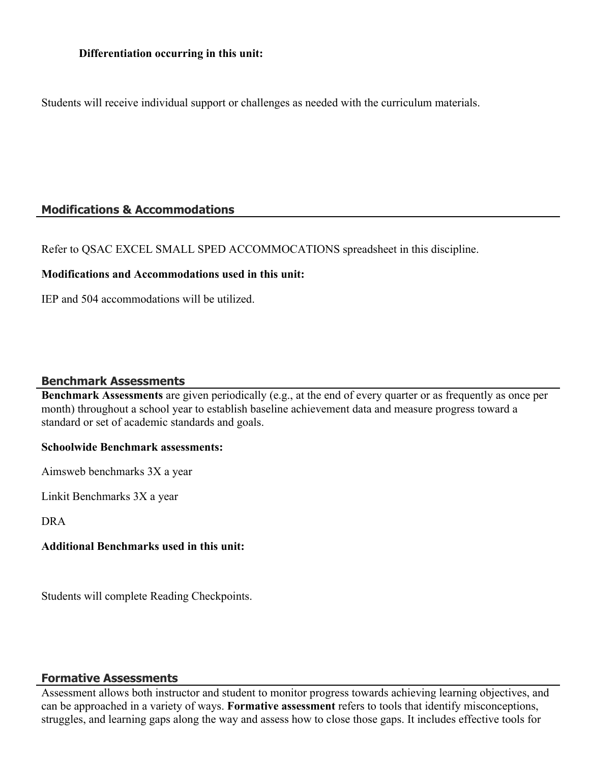Students will receive individual support or challenges as needed with the curriculum materials.

## **Modifications & Accommodations**

Refer to QSAC EXCEL SMALL SPED ACCOMMOCATIONS spreadsheet in this discipline.

## **Modifications and Accommodations used in this unit:**

IEP and 504 accommodations will be utilized.

## **Benchmark Assessments**

**Benchmark Assessments** are given periodically (e.g., at the end of every quarter or as frequently as once per month) throughout a school year to establish baseline achievement data and measure progress toward a standard or set of academic standards and goals.

## **Schoolwide Benchmark assessments:**

Aimsweb benchmarks 3X a year

Linkit Benchmarks 3X a year

DRA

## **Additional Benchmarks used in this unit:**

Students will complete Reading Checkpoints.

## **Formative Assessments**

Assessment allows both instructor and student to monitor progress towards achieving learning objectives, and can be approached in a variety of ways. **Formative assessment** refers to tools that identify misconceptions, struggles, and learning gaps along the way and assess how to close those gaps. It includes effective tools for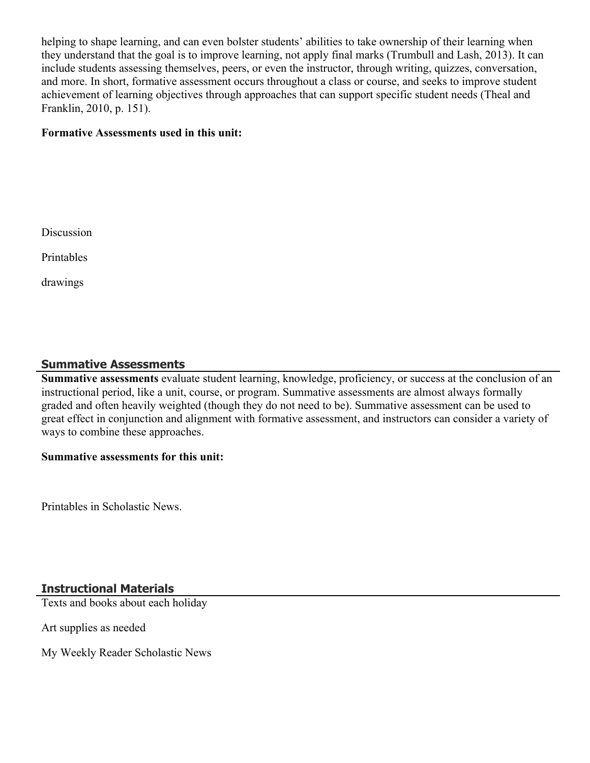helping to shape learning, and can even bolster students' abilities to take ownership of their learning when they understand that the goal is to improve learning, not apply final marks (Trumbull and Lash, 2013). It can include students assessing themselves, peers, or even the instructor, through writing, quizzes, conversation, and more. In short, formative assessment occurs throughout a class or course, and seeks to improve student achievement of learning objectives through approaches that can support specific student needs (Theal and Franklin, 2010, p. 151).

#### **Formative Assessments used in this unit:**

Discussion

Printables

drawings

## **Summative Assessments**

**Summative assessments** evaluate student learning, knowledge, proficiency, or success at the conclusion of an instructional period, like a unit, course, or program. Summative assessments are almost always formally graded and often heavily weighted (though they do not need to be). Summative assessment can be used to great effect in conjunction and alignment with formative assessment, and instructors can consider a variety of ways to combine these approaches.

#### **Summative assessments for this unit:**

Printables in Scholastic News.

## **Instructional Materials**

Texts and books about each holiday

Art supplies as needed

My Weekly Reader Scholastic News